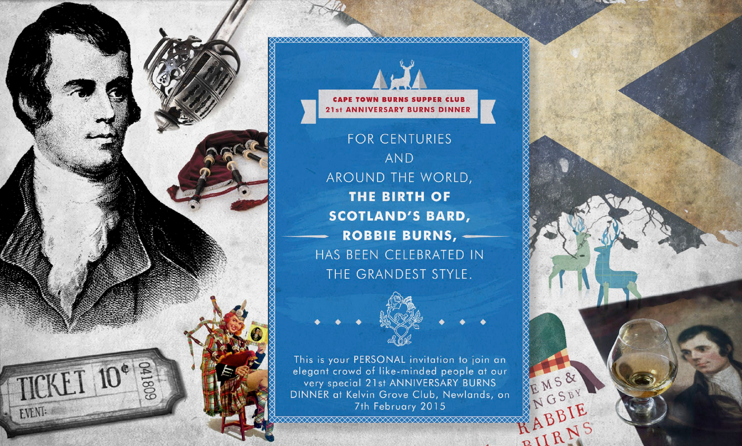

**CAPE TOWN BURNS SUPPER CLUB** 21st ANNIVERSARY BURNS DINNER

FOR CENTURIES **AND** AROUND THE WORLD, **THE BIRTH OF SCOTLAND'S BARD, ROBBIE BURNS, -**HAS BEEN CELEBRATED IN THE GRANDEST STYLE.



EMS&

NGSBY

ABBIE

RIIRNS

This is your PERSONAL invitation to join an elegant crowd of like-minded people at our very special 21st ANNIVERSARY BURNS DINNER at Kelvin Grove Club, Newlands, on 7th February 2015